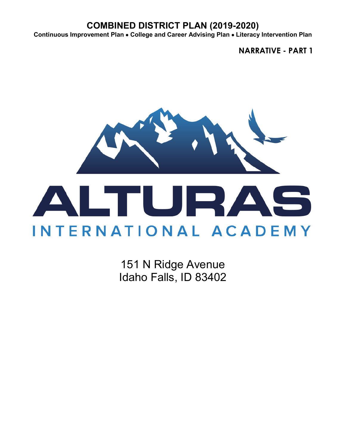**Continuous Improvement Plan** • **College and Career Advising Plan** • **Literacy Intervention Plan**

**NARRATIVE - PART 1**



151 N Ridge Avenue Idaho Falls, ID 83402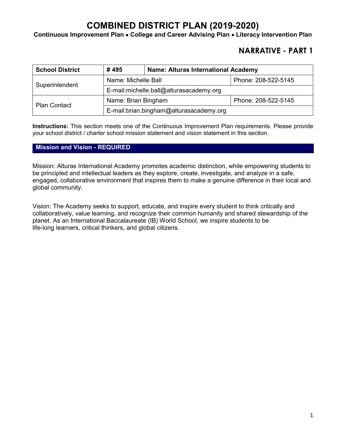**Continuous Improvement Plan** • **College and Career Advising Plan** • **Literacy Intervention Plan**

## **NARRATIVE - PART 1**

| <b>School District</b> | #495                                    | <b>Name: Alturas International Academy</b> |                     |  |
|------------------------|-----------------------------------------|--------------------------------------------|---------------------|--|
| Superintendent         | Name: Michelle Ball                     |                                            | Phone: 208-522-5145 |  |
|                        | E-mail:michelle.ball@alturasacademy.org |                                            |                     |  |
| <b>Plan Contact</b>    | Name: Brian Bingham                     |                                            | Phone: 208-522-5145 |  |
|                        | E-mail:brian.bingham@alturasacademy.org |                                            |                     |  |

**Instructions:** This section meets one of the Continuous Improvement Plan requirements. Please provide your school district / charter school mission statement and vision statement in this section.

#### **Mission and Vision - REQUIRED**

Mission: Alturas International Academy promotes academic distinction, while empowering students to be principled and intellectual leaders as they explore, create, investigate, and analyze in a safe, engaged, collaborative environment that inspires them to make a genuine difference in their local and global community.

Vision: The Academy seeks to support, educate, and inspire every student to think critically and collaboratively, value learning, and recognize their common humanity and shared stewardship of the planet. As an International Baccalaureate (IB) World School, we inspire students to be life-long learners, critical thinkers, and global citizens.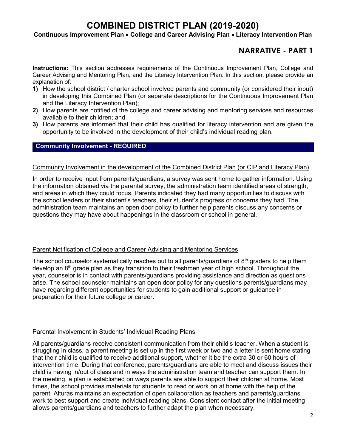#### **Continuous Improvement Plan** • **College and Career Advising Plan** • **Literacy Intervention Plan**

## **NARRATIVE - PART 1**

**Instructions:** This section addresses requirements of the Continuous Improvement Plan, College and Career Advising and Mentoring Plan, and the Literacy Intervention Plan. In this section, please provide an explanation of:

- **1)** How the school district / charter school involved parents and community (or considered their input) in developing this Combined Plan (or separate descriptions for the Continuous Improvement Plan and the Literacy Intervention Plan);
- **2)** How parents are notified of the college and career advising and mentoring services and resources available to their children; and
- **3)** How parents are informed that their child has qualified for literacy intervention and are given the opportunity to be involved in the development of their child's individual reading plan.

#### **Community Involvement - REQUIRED**

#### Community Involvement in the development of the Combined District Plan (or CIP and Literacy Plan)

In order to receive input from parents/guardians, a survey was sent home to gather information. Using the information obtained via the parental survey, the administration team identified areas of strength, and areas in which they could focus. Parents indicated they had many opportunities to discuss with the school leaders or their student's teachers, their student's progress or concerns they had. The administration team maintains an open door policy to further help parents discuss any concerns or questions they may have about happenings in the classroom or school in general.

#### Parent Notification of College and Career Advising and Mentoring Services

The school counselor systematically reaches out to all parents/guardians of  $8<sup>th</sup>$  graders to help them develop an 8th grade plan as they transition to their freshmen year of high school. Throughout the year, counselor is in contact with parents/guardians providing assistance and direction as questions arise. The school counselor maintains an open door policy for any questions parents/guardians may have regarding different opportunities for students to gain additional support or guidance in preparation for their future college or career.

#### Parental Involvement in Students' Individual Reading Plans

All parents/guardians receive consistent communication from their child's teacher. When a student is struggling in class, a parent meeting is set up in the first week or two and a letter is sent home stating that their child is qualified to receive additional support, whether it be the extra 30 or 60 hours of intervention time. During that conference, parents/guardians are able to meet and discuss issues their child is having in/out of class and in ways the administration team and teacher can support them. In the meeting, a plan is established on ways parents are able to support their children at home. Most times, the school provides materials for students to read or work on at home with the help of the parent. Alturas maintains an expectation of open collaboration as teachers and parents/guardians work to best support and create individual reading plans. Consistent contact after the initial meeting allows parents/guardians and teachers to further adapt the plan when necessary.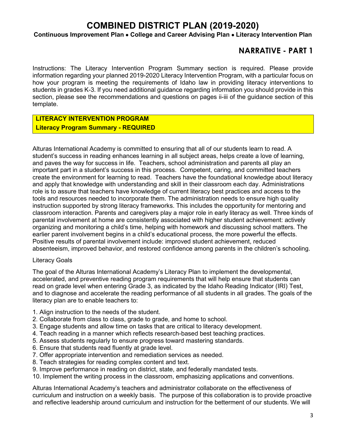#### **Continuous Improvement Plan** • **College and Career Advising Plan** • **Literacy Intervention Plan**

### **NARRATIVE - PART 1**

Instructions: The Literacy Intervention Program Summary section is required. Please provide information regarding your planned 2019-2020 Literacy Intervention Program, with a particular focus on how your program is meeting the requirements of Idaho law in providing literacy interventions to students in grades K-3. If you need additional guidance regarding information you should provide in this section, please see the recommendations and questions on pages ii-iii of the guidance section of this template.

### **LITERACY INTERVENTION PROGRAM Literacy Program Summary - REQUIRED**

Alturas International Academy is committed to ensuring that all of our students learn to read. A student's success in reading enhances learning in all subject areas, helps create a love of learning, and paves the way for success in life. Teachers, school administration and parents all play an important part in a student's success in this process. Competent, caring, and committed teachers create the environment for learning to read. Teachers have the foundational knowledge about literacy and apply that knowledge with understanding and skill in their classroom each day. Administrations role is to assure that teachers have knowledge of current literacy best practices and access to the tools and resources needed to incorporate them. The administration needs to ensure high quality instruction supported by strong literacy frameworks. This includes the opportunity for mentoring and classroom interaction. Parents and caregivers play a major role in early literacy as well. Three kinds of parental involvement at home are consistently associated with higher student achievement: actively organizing and monitoring a child's time, helping with homework and discussing school matters. The earlier parent involvement begins in a child's educational process, the more powerful the effects. Positive results of parental involvement include: improved student achievement, reduced absenteeism, improved behavior, and restored confidence among parents in the children's schooling.

#### Literacy Goals

The goal of the Alturas International Academy's Literacy Plan to implement the developmental, accelerated, and preventive reading program requirements that will help ensure that students can read on grade level when entering Grade 3, as indicated by the Idaho Reading Indicator (IRI) Test, and to diagnose and accelerate the reading performance of all students in all grades. The goals of the literacy plan are to enable teachers to:

- 1. Align instruction to the needs of the student.
- 2. Collaborate from class to class, grade to grade, and home to school.
- 3. Engage students and allow time on tasks that are critical to literacy development.
- 4. Teach reading in a manner which reflects research-based best teaching practices.
- 5. Assess students regularly to ensure progress toward mastering standards.
- 6. Ensure that students read fluently at grade level.
- 7. Offer appropriate intervention and remediation services as needed.
- 8. Teach strategies for reading complex content and text.
- 9. Improve performance in reading on district, state, and federally mandated tests.
- 10. Implement the writing process in the classroom, emphasizing applications and conventions.

Alturas International Academy's teachers and administrator collaborate on the effectiveness of curriculum and instruction on a weekly basis. The purpose of this collaboration is to provide proactive and reflective leadership around curriculum and instruction for the betterment of our students. We will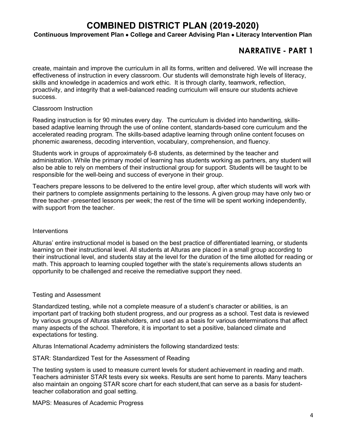#### **Continuous Improvement Plan** • **College and Career Advising Plan** • **Literacy Intervention Plan**

## **NARRATIVE - PART 1**

create, maintain and improve the curriculum in all its forms, written and delivered. We will increase the effectiveness of instruction in every classroom. Our students will demonstrate high levels of literacy, skills and knowledge in academics and work ethic. It is through clarity, teamwork, reflection, proactivity, and integrity that a well-balanced reading curriculum will ensure our students achieve success.

#### Classroom Instruction

Reading instruction is for 90 minutes every day. The curriculum is divided into handwriting, skillsbased adaptive learning through the use of online content, standards-based core curriculum and the accelerated reading program. The skills-based adaptive learning through online content focuses on phonemic awareness, decoding intervention, vocabulary, comprehension, and fluency.

Students work in groups of approximately 6-8 students, as determined by the teacher and administration. While the primary model of learning has students working as partners, any student will also be able to rely on members of their instructional group for support. Students will be taught to be responsible for the well-being and success of everyone in their group.

Teachers prepare lessons to be delivered to the entire level group, after which students will work with their partners to complete assignments pertaining to the lessons. A given group may have only two or three teacher -presented lessons per week; the rest of the time will be spent working independently, with support from the teacher.

#### **Interventions**

Alturas' entire instructional model is based on the best practice of differentiated learning, or students learning on their instructional level. All students at Alturas are placed in a small group according to their instructional level, and students stay at the level for the duration of the time allotted for reading or math. This approach to learning coupled together with the state's requirements allows students an opportunity to be challenged and receive the remediative support they need.

#### Testing and Assessment

Standardized testing, while not a complete measure of a student's character or abilities, is an important part of tracking both student progress, and our progress as a school. Test data is reviewed by various groups of Alturas stakeholders, and used as a basis for various determinations that affect many aspects of the school. Therefore, it is important to set a positive, balanced climate and expectations for testing.

Alturas International Academy administers the following standardized tests:

#### STAR: Standardized Test for the Assessment of Reading

The testing system is used to measure current levels for student achievement in reading and math. Teachers administer STAR tests every six weeks. Results are sent home to parents. Many teachers also maintain an ongoing STAR score chart for each student,that can serve as a basis for studentteacher collaboration and goal setting.

MAPS: Measures of Academic Progress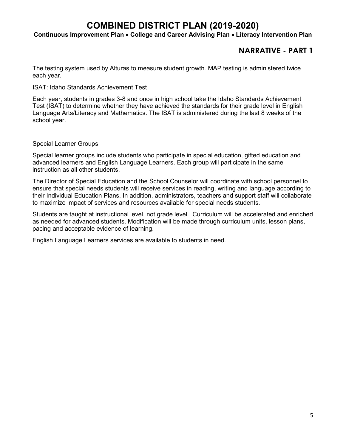#### **Continuous Improvement Plan** • **College and Career Advising Plan** • **Literacy Intervention Plan**

## **NARRATIVE - PART 1**

The testing system used by Alturas to measure student growth. MAP testing is administered twice each year.

ISAT: Idaho Standards Achievement Test

Each year, students in grades 3-8 and once in high school take the Idaho Standards Achievement Test (ISAT) to determine whether they have achieved the standards for their grade level in English Language Arts/Literacy and Mathematics. The ISAT is administered during the last 8 weeks of the school year.

Special Learner Groups

Special learner groups include students who participate in special education, gifted education and advanced learners and English Language Learners. Each group will participate in the same instruction as all other students.

The Director of Special Education and the School Counselor will coordinate with school personnel to ensure that special needs students will receive services in reading, writing and language according to their Individual Education Plans. In addition, administrators, teachers and support staff will collaborate to maximize impact of services and resources available for special needs students.

Students are taught at instructional level, not grade level. Curriculum will be accelerated and enriched as needed for advanced students. Modification will be made through curriculum units, lesson plans, pacing and acceptable evidence of learning.

English Language Learners services are available to students in need.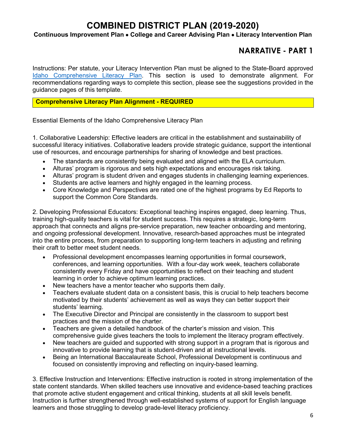#### **Continuous Improvement Plan** • **College and Career Advising Plan** • **Literacy Intervention Plan**

## **NARRATIVE - PART 1**

Instructions: Per statute, your Literacy Intervention Plan must be aligned to the State-Board approved [Idaho Comprehensive Literacy Plan.](https://boardofed.idaho.gov/resources/comprehensive-literacy-plan/) This section is used to demonstrate alignment. For recommendations regarding ways to complete this section, please see the suggestions provided in the guidance pages of this template.

#### **Comprehensive Literacy Plan Alignment - REQUIRED**

Essential Elements of the Idaho Comprehensive Literacy Plan

1. Collaborative Leadership: Effective leaders are critical in the establishment and sustainability of successful literacy initiatives. Collaborative leaders provide strategic guidance, support the intentional use of resources, and encourage partnerships for sharing of knowledge and best practices.

- The standards are consistently being evaluated and aligned with the ELA curriculum.
- Alturas' program is rigorous and sets high expectations and encourages risk taking.
- Alturas' program is student driven and engages students in challenging learning experiences.
- Students are active learners and highly engaged in the learning process.
- Core Knowledge and Perspectives are rated one of the highest programs by Ed Reports to support the Common Core Standards.

2. Developing Professional Educators: Exceptional teaching inspires engaged, deep learning. Thus, training high-quality teachers is vital for student success. This requires a strategic, long-term approach that connects and aligns pre-service preparation, new teacher onboarding and mentoring, and ongoing professional development. Innovative, research-based approaches must be integrated into the entire process, from preparation to supporting long-term teachers in adjusting and refining their craft to better meet student needs.

- Professional development encompasses learning opportunities in formal coursework, conferences, and learning opportunities. With a four-day work week, teachers collaborate consistently every Friday and have opportunities to reflect on their teaching and student learning in order to achieve optimum learning practices.
- New teachers have a mentor teacher who supports them daily.
- Teachers evaluate student data on a consistent basis, this is crucial to help teachers become motivated by their students' achievement as well as ways they can better support their students' learning.
- The Executive Director and Principal are consistently in the classroom to support best practices and the mission of the charter.
- Teachers are given a detailed handbook of the charter's mission and vision. This comprehensive guide gives teachers the tools to implement the literacy program effectively.
- New teachers are guided and supported with strong support in a program that is rigorous and innovative to provide learning that is student-driven and at instructional levels.
- Being an International Baccalaureate School, Professional Development is continuous and focused on consistently improving and reflecting on inquiry-based learning.

3. Effective Instruction and Interventions: Effective instruction is rooted in strong implementation of the state content standards. When skilled teachers use innovative and evidence-based teaching practices that promote active student engagement and critical thinking, students at all skill levels benefit. Instruction is further strengthened through well-established systems of support for English language learners and those struggling to develop grade-level literacy proficiency.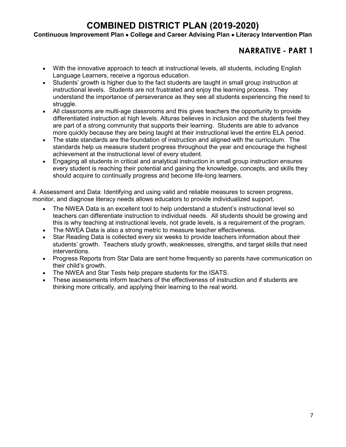#### **Continuous Improvement Plan** • **College and Career Advising Plan** • **Literacy Intervention Plan**

## **NARRATIVE - PART 1**

- With the innovative approach to teach at instructional levels, all students, including English Language Learners, receive a rigorous education.
- Students' growth is higher due to the fact students are taught in small group instruction at instructional levels. Students are not frustrated and enjoy the learning process. They understand the importance of perseverance as they see all students experiencing the need to struggle.
- All classrooms are multi-age classrooms and this gives teachers the opportunity to provide differentiated instruction at high levels. Alturas believes in inclusion and the students feel they are part of a strong community that supports their learning. Students are able to advance more quickly because they are being taught at their instructional level the entire ELA period.
- The state standards are the foundation of instruction and aligned with the curriculum. The standards help us measure student progress throughout the year and encourage the highest achievement at the instructional level of every student.
- Engaging all students in critical and analytical instruction in small group instruction ensures every student is reaching their potential and gaining the knowledge, concepts, and skills they should acquire to continually progress and become life-long learners.

4. Assessment and Data: Identifying and using valid and reliable measures to screen progress, monitor, and diagnose literacy needs allows educators to provide individualized support.

- The NWEA Data is an excellent tool to help understand a student's instructional level so teachers can differentiate instruction to individual needs. All students should be growing and this is why teaching at instructional levels, not grade levels, is a requirement of the program.
- The NWEA Data is also a strong metric to measure teacher effectiveness.
- Star Reading Data is collected every six weeks to provide teachers information about their students' growth. Teachers study growth, weaknesses, strengths, and target skills that need interventions.
- Progress Reports from Star Data are sent home frequently so parents have communication on their child's growth.
- The NWEA and Star Tests help prepare students for the ISATS.
- These assessments inform teachers of the effectiveness of instruction and if students are thinking more critically, and applying their learning to the real world.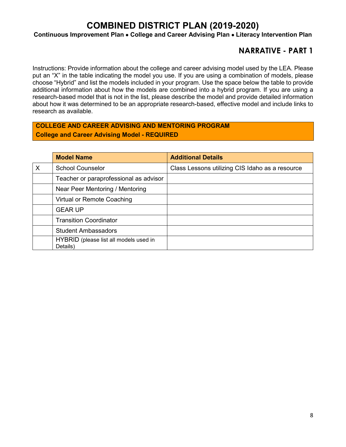**Continuous Improvement Plan** • **College and Career Advising Plan** • **Literacy Intervention Plan**

## **NARRATIVE - PART 1**

Instructions: Provide information about the college and career advising model used by the LEA. Please put an "X" in the table indicating the model you use. If you are using a combination of models, please choose "Hybrid" and list the models included in your program. Use the space below the table to provide additional information about how the models are combined into a hybrid program. If you are using a research-based model that is not in the list, please describe the model and provide detailed information about how it was determined to be an appropriate research-based, effective model and include links to research as available.

### **COLLEGE AND CAREER ADVISING AND MENTORING PROGRAM College and Career Advising Model - REQUIRED**

|   | <b>Model Name</b>                                  | <b>Additional Details</b>                       |
|---|----------------------------------------------------|-------------------------------------------------|
| X | <b>School Counselor</b>                            | Class Lessons utilizing CIS Idaho as a resource |
|   | Teacher or paraprofessional as advisor             |                                                 |
|   | Near Peer Mentoring / Mentoring                    |                                                 |
|   | Virtual or Remote Coaching                         |                                                 |
|   | <b>GEAR UP</b>                                     |                                                 |
|   | <b>Transition Coordinator</b>                      |                                                 |
|   | <b>Student Ambassadors</b>                         |                                                 |
|   | HYBRID (please list all models used in<br>Details) |                                                 |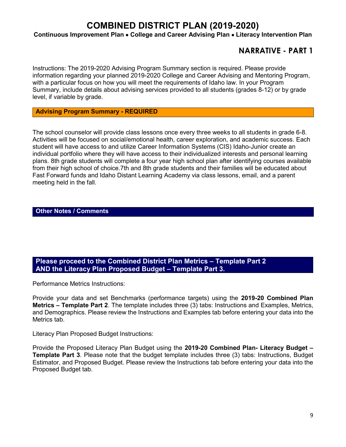#### **Continuous Improvement Plan** • **College and Career Advising Plan** • **Literacy Intervention Plan**

### **NARRATIVE - PART 1**

Instructions: The 2019-2020 Advising Program Summary section is required. Please provide information regarding your planned 2019-2020 College and Career Advising and Mentoring Program, with a particular focus on how you will meet the requirements of Idaho law. In your Program Summary, include details about advising services provided to all students (grades 8-12) or by grade level, if variable by grade.

#### **Advising Program Summary - REQUIRED**

The school counselor will provide class lessons once every three weeks to all students in grade 6-8. Activities will be focused on social/emotional health, career exploration, and academic success. Each student will have access to and utilize Career Information Systems (CIS) Idaho-Junior create an individual portfolio where they will have access to their individualized interests and personal learning plans. 8th grade students will complete a four year high school plan after identifying courses available from their high school of choice.7th and 8th grade students and their families will be educated about Fast Forward funds and Idaho Distant Learning Academy via class lessons, email, and a parent meeting held in the fall.

#### **Other Notes / Comments**

#### **Please proceed to the Combined District Plan Metrics – Template Part 2 AND the Literacy Plan Proposed Budget – Template Part 3.**

Performance Metrics Instructions:

Provide your data and set Benchmarks (performance targets) using the **2019-20 Combined Plan Metrics – Template Part 2**. The template includes three (3) tabs: Instructions and Examples, Metrics, and Demographics. Please review the Instructions and Examples tab before entering your data into the Metrics tab.

Literacy Plan Proposed Budget Instructions:

Provide the Proposed Literacy Plan Budget using the **2019-20 Combined Plan- Literacy Budget – Template Part 3**. Please note that the budget template includes three (3) tabs: Instructions, Budget Estimator, and Proposed Budget. Please review the Instructions tab before entering your data into the Proposed Budget tab.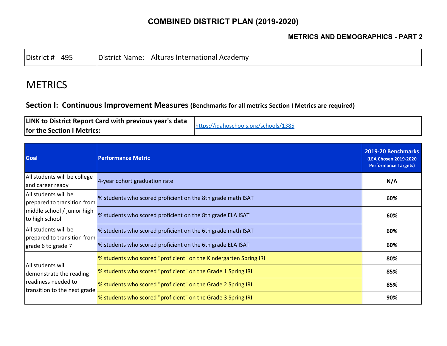### **METRICS AND DEMOGRAPHICS - PART 2**

|--|

# **METRICS**

### **Section I: Continuous Improvement Measures (Benchmarks for all metrics Section I Metrics are required)**

| LINK to District Report Card with previous year's data | https://idahoschools.org/schools/1385 |
|--------------------------------------------------------|---------------------------------------|
| for the Section I Metrics:                             |                                       |

| <b>Goal</b>                                                                    | <b>Performance Metric</b>                                         | 2019-20 Benchmarks<br>(LEA Chosen 2019-2020<br><b>Performance Targets)</b> |
|--------------------------------------------------------------------------------|-------------------------------------------------------------------|----------------------------------------------------------------------------|
| All students will be college<br>and career ready                               | 4-year cohort graduation rate                                     | N/A                                                                        |
| All students will be<br>prepared to transition from                            | % students who scored proficient on the 8th grade math ISAT       | 60%                                                                        |
| middle school / junior high<br>to high school                                  | % students who scored proficient on the 8th grade ELA ISAT        | 60%                                                                        |
| All students will be                                                           | % students who scored proficient on the 6th grade math ISAT       | 60%                                                                        |
| prepared to transition from<br>grade 6 to grade 7                              | % students who scored proficient on the 6th grade ELA ISAT        | 60%                                                                        |
| All students will                                                              | % students who scored "proficient" on the Kindergarten Spring IRI | 80%                                                                        |
| demonstrate the reading<br>readiness needed to<br>transition to the next grade | % students who scored "proficient" on the Grade 1 Spring IRI      | 85%                                                                        |
|                                                                                | % students who scored "proficient" on the Grade 2 Spring IRI      | 85%                                                                        |
|                                                                                | % students who scored "proficient" on the Grade 3 Spring IRI      | 90%                                                                        |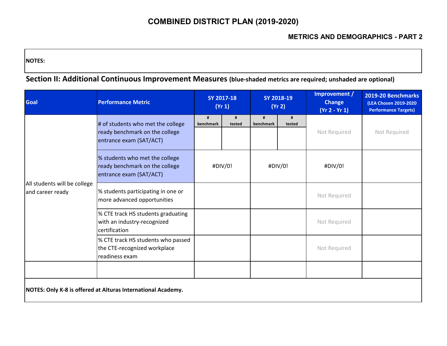**NOTES:** 

**Section II: Additional Continuous Improvement Measures (blue-shaded metrics are required; unshaded are optional)**

| <b>Goal</b>                                      | <b>Performance Metric</b>                                                                      |                | SY 2017-18<br>(Yr 1) | SY 2018-19<br>(Yr 2) |             | Improvement /<br><b>Change</b><br>$(Yr 2 - Yr 1)$ | 2019-20 Benchmarks<br>(LEA Chosen 2019-2020<br><b>Performance Targets)</b> |
|--------------------------------------------------|------------------------------------------------------------------------------------------------|----------------|----------------------|----------------------|-------------|---------------------------------------------------|----------------------------------------------------------------------------|
|                                                  | # of students who met the college<br>ready benchmark on the college<br>entrance exam (SAT/ACT) | #<br>benchmark | tested               | #<br>benchmark       | #<br>tested | Not Required                                      | Not Required                                                               |
|                                                  | % students who met the college<br>ready benchmark on the college<br>entrance exam (SAT/ACT)    | #DIV/0!        |                      | #DIV/0!              |             | #DIV/0!                                           |                                                                            |
| All students will be college<br>and career ready | % students participating in one or<br>more advanced opportunities                              |                |                      |                      |             | Not Required                                      |                                                                            |
|                                                  | % CTE track HS students graduating<br>with an industry-recognized<br>certification             |                |                      |                      |             | Not Required                                      |                                                                            |
|                                                  | % CTE track HS students who passed<br>the CTE-recognized workplace<br>readiness exam           |                |                      |                      |             | Not Required                                      |                                                                            |
|                                                  |                                                                                                |                |                      |                      |             |                                                   |                                                                            |
|                                                  | NOTES: Only K-8 is offered at Alturas International Academy.                                   |                |                      |                      |             |                                                   |                                                                            |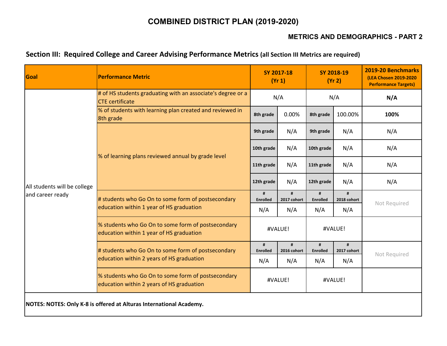### **METRICS AND DEMOGRAPHICS - PART 2**

### **Section III: Required College and Career Advising Performance Metrics (all Section III Metrics are required)**

| Goal                                             | <b>Performance Metric</b>                                                                       |                      | SY 2017-18<br>(Yr 1)            |                      | SY 2018-19<br>(Yr 2)    | 2019-20 Benchmarks<br>(LEA Chosen 2019-2020<br><b>Performance Targets)</b> |
|--------------------------------------------------|-------------------------------------------------------------------------------------------------|----------------------|---------------------------------|----------------------|-------------------------|----------------------------------------------------------------------------|
|                                                  | # of HS students graduating with an associate's degree or a<br><b>CTE</b> certificate           |                      | N/A                             |                      | N/A                     | N/A                                                                        |
|                                                  | % of students with learning plan created and reviewed in<br>8th grade                           | 8th grade            | 0.00%                           | 8th grade            | 100.00%                 | 100%                                                                       |
|                                                  |                                                                                                 | 9th grade            | N/A                             | 9th grade            | N/A                     | N/A                                                                        |
|                                                  | % of learning plans reviewed annual by grade level                                              | 10th grade           | N/A                             | 10th grade           | N/A                     | N/A                                                                        |
| All students will be college<br>and career ready |                                                                                                 | 11th grade           | N/A                             | 11th grade           | N/A                     | N/A                                                                        |
|                                                  |                                                                                                 |                      | N/A                             | 12th grade           | N/A                     | N/A                                                                        |
|                                                  | # students who Go On to some form of postsecondary<br>education within 1 year of HS graduation  | #<br><b>Enrolled</b> | $\pmb{\text{H}}$<br>2017 cohort | #<br><b>Enrolled</b> | $\bf{H}$<br>2018 cohort | Not Required                                                               |
|                                                  |                                                                                                 | N/A                  | N/A                             | N/A                  | N/A                     |                                                                            |
|                                                  | % students who Go On to some form of postsecondary<br>education within 1 year of HS graduation  |                      | #VALUE!                         |                      | #VALUE!                 |                                                                            |
|                                                  | # students who Go On to some form of postsecondary                                              | #<br><b>Enrolled</b> | #<br>2016 cohort                | #<br><b>Enrolled</b> | #<br>2017 cohort        | Not Required                                                               |
|                                                  | education within 2 years of HS graduation                                                       | N/A                  | N/A                             | N/A                  | N/A                     |                                                                            |
|                                                  | % students who Go On to some form of postsecondary<br>education within 2 years of HS graduation |                      | #VALUE!                         |                      | #VALUE!                 |                                                                            |
|                                                  | NOTES: NOTES: Only K-8 is offered at Alturas International Academy.                             |                      |                                 |                      |                         |                                                                            |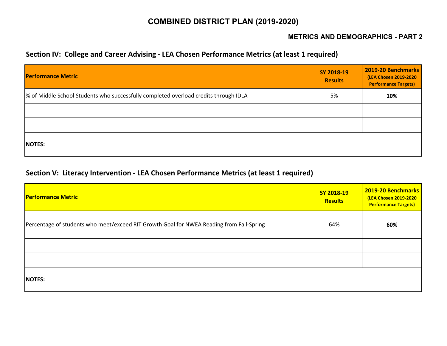### **METRICS AND DEMOGRAPHICS - PART 2**

### **Section IV: College and Career Advising - LEA Chosen Performance Metrics (at least 1 required)**

| <b>Performance Metric</b>                                                            | SY 2018-19<br><b>Results</b> | 2019-20 Benchmarks<br>(LEA Chosen 2019-2020<br><b>Performance Targets)</b> |
|--------------------------------------------------------------------------------------|------------------------------|----------------------------------------------------------------------------|
| % of Middle School Students who successfully completed overload credits through IDLA | 5%                           | 10%                                                                        |
|                                                                                      |                              |                                                                            |
|                                                                                      |                              |                                                                            |
| <b>NOTES:</b>                                                                        |                              |                                                                            |

### **Section V: Literacy Intervention - LEA Chosen Performance Metrics (at least 1 required)**

| <b>Performance Metric</b>                                                                | SY 2018-19<br><b>Results</b> | 2019-20 Benchmarks<br><b>(LEA Chosen 2019-2020</b><br><b>Performance Targets)</b> |
|------------------------------------------------------------------------------------------|------------------------------|-----------------------------------------------------------------------------------|
| Percentage of students who meet/exceed RIT Growth Goal for NWEA Reading from Fall-Spring | 64%                          | 60%                                                                               |
|                                                                                          |                              |                                                                                   |
|                                                                                          |                              |                                                                                   |
| <b>NOTES:</b>                                                                            |                              |                                                                                   |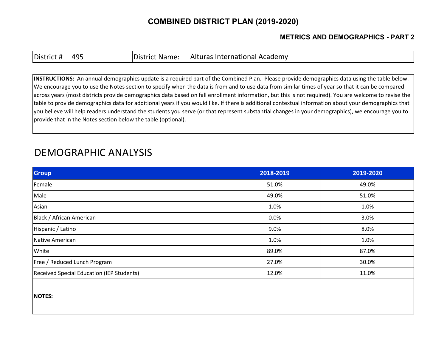### **METRICS AND DEMOGRAPHICS - PART 2**

| District # | 495 |
|------------|-----|
|------------|-----|

District Name: Alturas International Academy

**INSTRUCTIONS:** An annual demographics update is a required part of the Combined Plan. Please provide demographics data using the table below. We encourage you to use the Notes section to specify when the data is from and to use data from similar times of year so that it can be compared across years (most districts provide demographics data based on fall enrollment information, but this is not required). You are welcome to revise the table to provide demographics data for additional years if you would like. If there is additional contextual information about your demographics that you believe will help readers understand the students you serve (or that represent substantial changes in your demographics), we encourage you to provide that in the Notes section below the table (optional).

# DEMOGRAPHIC ANALYSIS

| Group                                     | 2018-2019 | 2019-2020 |
|-------------------------------------------|-----------|-----------|
| Female                                    | 51.0%     | 49.0%     |
| Male                                      | 49.0%     | 51.0%     |
| Asian                                     | 1.0%      | 1.0%      |
| Black / African American                  | 0.0%      | 3.0%      |
| Hispanic / Latino                         | 9.0%      | 8.0%      |
| Native American                           | 1.0%      | 1.0%      |
| White                                     | 89.0%     | 87.0%     |
| Free / Reduced Lunch Program              | 27.0%     | 30.0%     |
| Received Special Education (IEP Students) | 12.0%     | 11.0%     |

**NOTES:**